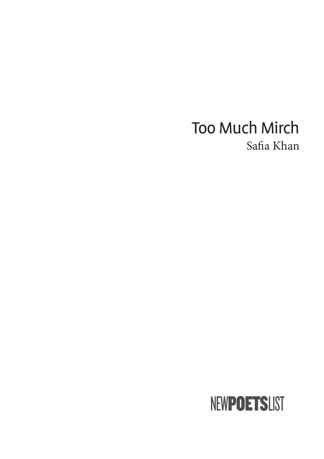## **Too Much Mirch** Safia Khan

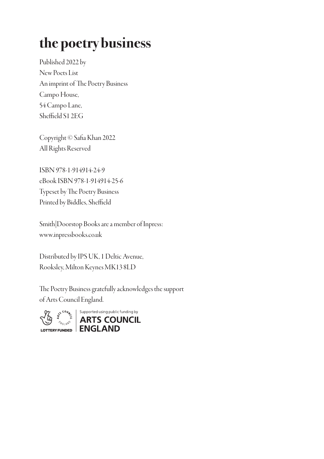# the poetry business

Published 2022 by New Poets List An imprint of The Poetry Business Campo House, 54 Campo Lane, Sheffield S1 2EG

Copyright © Safia Khan 2022 All Rights Reserved

ISBN 978-1-914914-24-9 eBook ISBN 978-1-914914-25-6 Typeset by The Poetry Business Printed by Biddles, Sheffield

Smith|Doorstop Books are a member of Inpress: www.inpressbooks.co.uk

Distributed by IPS UK, 1 Deltic Avenue, Rooksley, Milton Keynes MK13 8LD

The Poetry Business gratefully acknowledges the support of Arts Council England.

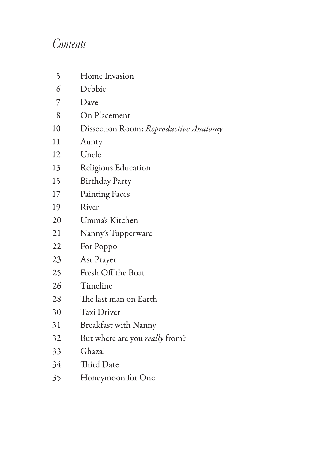## *Contents*

| 5  | Home Invasion                         |
|----|---------------------------------------|
| 6  | Debbie                                |
| 7  | Dave                                  |
| 8  | On Placement                          |
| 10 | Dissection Room: Reproductive Anatomy |
| 11 | Aunty                                 |
| 12 | Uncle                                 |
| 13 | Religious Education                   |
| 15 | <b>Birthday Party</b>                 |
| 17 | <b>Painting Faces</b>                 |
| 19 | River                                 |
| 20 | Umma's Kitchen                        |
| 21 | Nanny's Tupperware                    |
| 22 | For Poppo                             |
| 23 | Asr Prayer                            |
| 25 | Fresh Off the Boat                    |
| 26 | Timeline                              |
| 28 | The last man on Earth                 |
| 30 | <b>Taxi Driver</b>                    |
| 31 | Breakfast with Nanny                  |
| 32 | But where are you <i>really</i> from? |
| 33 | Ghazal                                |
| 34 | Third Date                            |
| 35 | Honeymoon for One                     |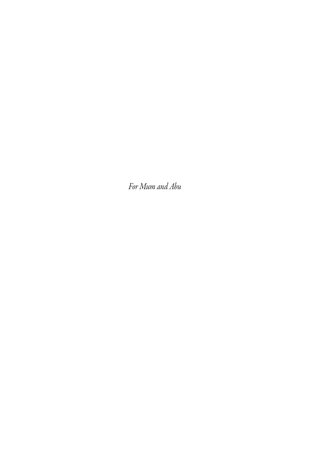For Mum and Abu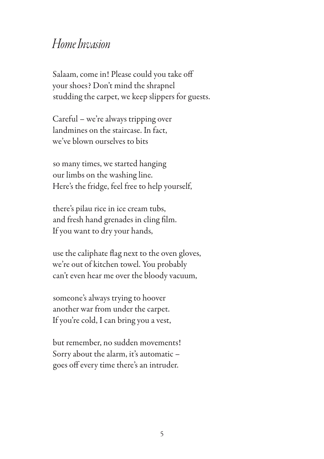#### *Home In*v*asion*

Salaam, come in! Please could you take off your shoes? Don't mind the shrapnel studding the carpet, we keep slippers for guests.

Careful – we're always tripping over landmines on the staircase. In fact, we've blown ourselves to bits

so many times, we started hanging our limbs on the washing line. Here's the fridge, feel free to help yourself,

there's pilau rice in ice cream tubs, and fresh hand grenades in cling film. If you want to dry your hands,

use the caliphate flag next to the oven gloves, we're out of kitchen towel. You probably can't even hear me over the bloody vacuum,

someone's always trying to hoover another war from under the carpet. If you're cold, I can bring you a vest,

but remember, no sudden movements! Sorry about the alarm, it's automatic – goes off every time there's an intruder.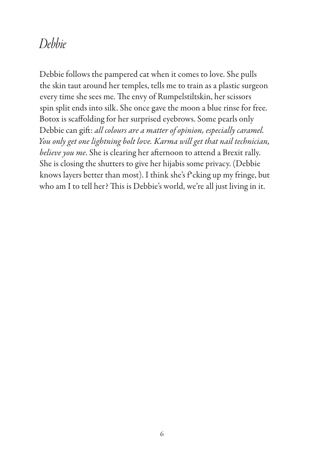### *Debbie*

Debbie follows the pampered cat when it comes to love. She pulls the skin taut around her temples, tells me to train as a plastic surgeon every time she sees me. The envy of Rumpelstiltskin, her scissors spin split ends into silk. She once gave the moon a blue rinse for free. Botox is scaffolding for her surprised eyebrows. Some pearls only Debbie can gift: *all colours are a matter of opinion, especially caramel. You only get one lightning bolt lo*v*e. Karma will get that nail technician, believe you me*. She is clearing her afternoon to attend a Brexit rally. She is closing the shutters to give her hijabis some privacy. (Debbie knows layers better than most). I think she's f\*cking up my fringe, but who am I to tell her? This is Debbie's world, we're all just living in it.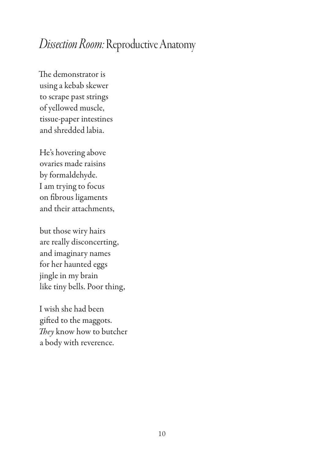### *Dissection Room:* Reproductive Anatomy

The demonstrator is using a kebab skewer to scrape past strings of yellowed muscle, tissue-paper intestines and shredded labia.

He's hovering above ovaries made raisins by formaldehyde. I am trying to focus on fibrous ligaments and their attachments,

but those wiry hairs are really disconcerting, and imaginary names for her haunted eggs jingle in my brain like tiny bells. Poor thing,

I wish she had been gifted to the maggots. They know how to butcher a body with reverence.